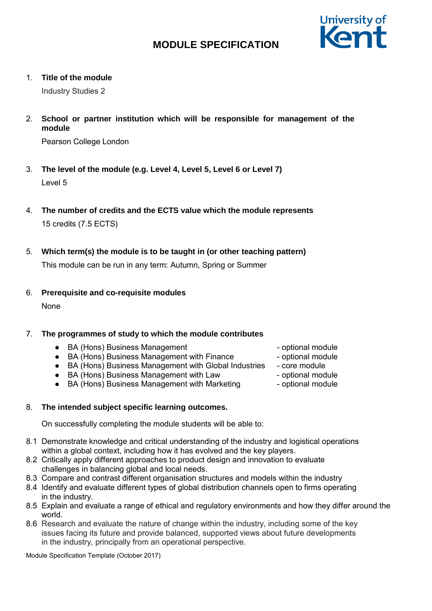

1. **Title of the module**

Industry Studies 2

2. **School or partner institution which will be responsible for management of the module**

Pearson College London

- 3. **The level of the module (e.g. Level 4, Level 5, Level 6 or Level 7)** Level 5
- 4. **The number of credits and the ECTS value which the module represents** 15 credits (7.5 ECTS)
- 5. **Which term(s) the module is to be taught in (or other teaching pattern)**

This module can be run in any term: Autumn, Spring or Summer

6. **Prerequisite and co-requisite modules**

**None** 

## 7. **The programmes of study to which the module contributes**

- BA (Hons) Business Management → → optional module
- BA (Hons) Business Management with Finance - optional module
- BA (Hons) Business Management with Global Industries core module
- BA (Hons) Business Management with Law optional module
- BA (Hons) Business Management with Marketing optional module

## 8. **The intended subject specific learning outcomes.**

On successfully completing the module students will be able to:

- 8.1 Demonstrate knowledge and critical understanding of the industry and logistical operations within a global context, including how it has evolved and the key players.
- 8.2 Critically apply different approaches to product design and innovation to evaluate challenges in balancing global and local needs.
- 8.3 Compare and contrast different organisation structures and models within the industry
- 8.4 Identify and evaluate different types of global distribution channels open to firms operating in the industry.
- 8.5 Explain and evaluate a range of ethical and regulatory environments and how they differ around the world.
- 8.6 Research and evaluate the nature of change within the industry, including some of the key issues facing its future and provide balanced, supported views about future developments in the industry, principally from an operational perspective.

Module Specification Template (October 2017)

- 
- 
- 
- 
-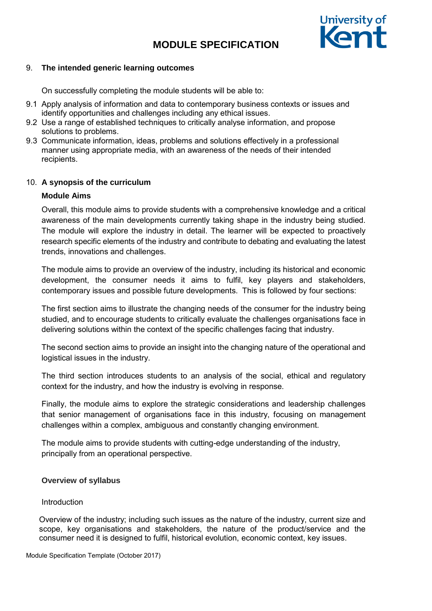

### 9. **The intended generic learning outcomes**

On successfully completing the module students will be able to:

- 9.1 Apply analysis of information and data to contemporary business contexts or issues and identify opportunities and challenges including any ethical issues.
- 9.2 Use a range of established techniques to critically analyse information, and propose solutions to problems.
- 9.3 Communicate information, ideas, problems and solutions effectively in a professional manner using appropriate media, with an awareness of the needs of their intended recipients.

### 10. **A synopsis of the curriculum**

### **Module Aims**

Overall, this module aims to provide students with a comprehensive knowledge and a critical awareness of the main developments currently taking shape in the industry being studied. The module will explore the industry in detail. The learner will be expected to proactively research specific elements of the industry and contribute to debating and evaluating the latest trends, innovations and challenges.

The module aims to provide an overview of the industry, including its historical and economic development, the consumer needs it aims to fulfil, key players and stakeholders, contemporary issues and possible future developments. This is followed by four sections:

The first section aims to illustrate the changing needs of the consumer for the industry being studied, and to encourage students to critically evaluate the challenges organisations face in delivering solutions within the context of the specific challenges facing that industry.

The second section aims to provide an insight into the changing nature of the operational and logistical issues in the industry.

The third section introduces students to an analysis of the social, ethical and regulatory context for the industry, and how the industry is evolving in response.

Finally, the module aims to explore the strategic considerations and leadership challenges that senior management of organisations face in this industry, focusing on management challenges within a complex, ambiguous and constantly changing environment.

The module aims to provide students with cutting-edge understanding of the industry, principally from an operational perspective.

#### **Overview of syllabus**

#### Introduction

Overview of the industry; including such issues as the nature of the industry, current size and scope, key organisations and stakeholders, the nature of the product/service and the consumer need it is designed to fulfil, historical evolution, economic context, key issues.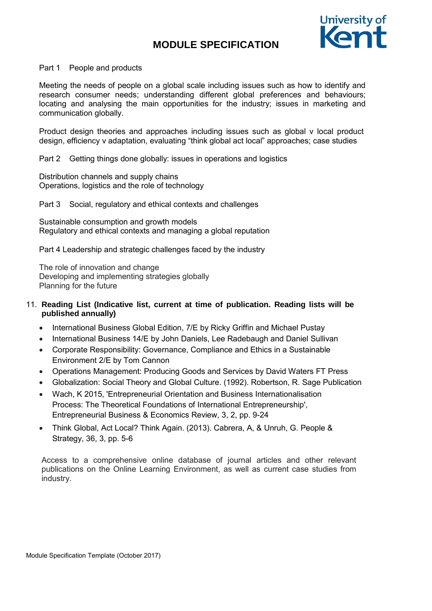

#### Part 1 People and products

Meeting the needs of people on a global scale including issues such as how to identify and research consumer needs; understanding different global preferences and behaviours; locating and analysing the main opportunities for the industry; issues in marketing and communication globally.

Product design theories and approaches including issues such as global v local product design, efficiency v adaptation, evaluating "think global act local" approaches; case studies

Part 2 Getting things done globally: issues in operations and logistics

Distribution channels and supply chains Operations, logistics and the role of technology

Part 3 Social, regulatory and ethical contexts and challenges

Sustainable consumption and growth models Regulatory and ethical contexts and managing a global reputation

Part 4 Leadership and strategic challenges faced by the industry

The role of innovation and change Developing and implementing strategies globally Planning for the future

## 11. **Reading List (Indicative list, current at time of publication. Reading lists will be published annually)**

- International Business Global Edition, 7/E by Ricky Griffin and Michael Pustay
- International Business 14/E by John Daniels, Lee Radebaugh and Daniel Sullivan
- Corporate Responsibility: Governance, Compliance and Ethics in a Sustainable Environment 2/E by Tom Cannon
- Operations Management: Producing Goods and Services by David Waters FT Press
- Globalization: Social Theory and Global Culture. (1992). Robertson, R. Sage Publication
- Wach, K 2015, 'Entrepreneurial Orientation and Business Internationalisation Process: The Theoretical Foundations of International Entrepreneurship', Entrepreneurial Business & Economics Review, 3, 2, pp. 9-24
- Think Global, Act Local? Think Again. (2013). Cabrera, A, & Unruh, G. People & Strategy, 36, 3, pp. 5-6

Access to a comprehensive online database of journal articles and other relevant publications on the Online Learning Environment, as well as current case studies from industry.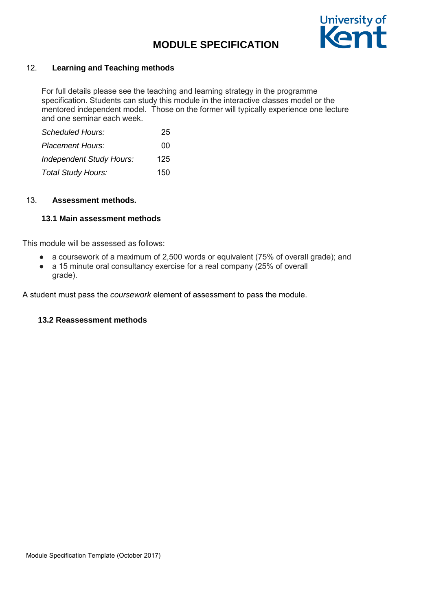

## 12. **Learning and Teaching methods**

For full details please see the teaching and learning strategy in the programme specification. Students can study this module in the interactive classes model or the mentored independent model. Those on the former will typically experience one lecture and one seminar each week.

| <b>Scheduled Hours:</b>         | 25  |
|---------------------------------|-----|
| <b>Placement Hours:</b>         | ΩO  |
| <b>Independent Study Hours:</b> | 125 |
| Total Study Hours:              | 150 |

### 13. **Assessment methods.**

## **13.1 Main assessment methods**

This module will be assessed as follows:

- a coursework of a maximum of 2,500 words or equivalent (75% of overall grade); and
- a 15 minute oral consultancy exercise for a real company (25% of overall grade).

A student must pass the *coursework* element of assessment to pass the module.

## **13.2 Reassessment methods**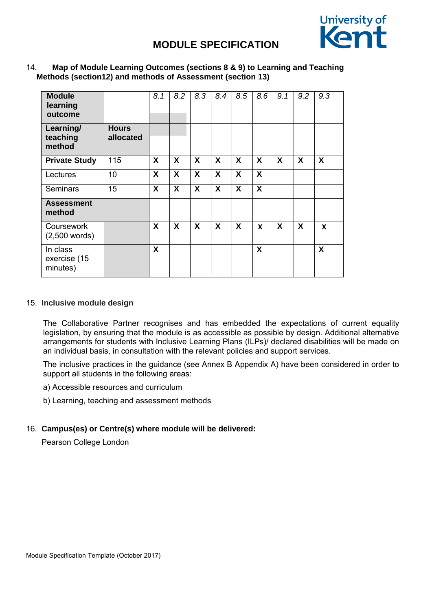

### 14. **Map of Module Learning Outcomes (sections 8 & 9) to Learning and Teaching Methods (section12) and methods of Assessment (section 13)**

| <b>Module</b><br>learning<br>outcome |                           | 8.1              | 8.2              | 8.3 | 8.4              | 8.5              | 8.6                       | 9.1 | 9.2              | 9.3              |
|--------------------------------------|---------------------------|------------------|------------------|-----|------------------|------------------|---------------------------|-----|------------------|------------------|
| Learning/<br>teaching<br>method      | <b>Hours</b><br>allocated |                  |                  |     |                  |                  |                           |     |                  |                  |
| <b>Private Study</b>                 | 115                       | X                | $\boldsymbol{X}$ | X   | X                | $\boldsymbol{X}$ | $\boldsymbol{\mathsf{X}}$ | X   | $\boldsymbol{X}$ | $\boldsymbol{X}$ |
| Lectures                             | 10                        | $\boldsymbol{X}$ | X                | X   | $\boldsymbol{X}$ | $\boldsymbol{X}$ | $\boldsymbol{\mathsf{X}}$ |     |                  |                  |
| Seminars                             | 15                        | X                | $\boldsymbol{X}$ | X   | X                | X                | $\boldsymbol{X}$          |     |                  |                  |
| <b>Assessment</b><br>method          |                           |                  |                  |     |                  |                  |                           |     |                  |                  |
| Coursework<br>$(2,500$ words)        |                           | X                | X                | X   | X                | X                | $\boldsymbol{x}$          | X   | X                | X                |
| In class<br>exercise (15<br>minutes) |                           | $\boldsymbol{X}$ |                  |     |                  |                  | X                         |     |                  | X                |

#### 15. **Inclusive module design**

The Collaborative Partner recognises and has embedded the expectations of current equality legislation, by ensuring that the module is as accessible as possible by design. Additional alternative arrangements for students with Inclusive Learning Plans (ILPs)/ declared disabilities will be made on an individual basis, in consultation with the relevant policies and support services.

The inclusive practices in the guidance (see Annex B Appendix A) have been considered in order to support all students in the following areas:

- a) Accessible resources and curriculum
- b) Learning, teaching and assessment methods

## 16. **Campus(es) or Centre(s) where module will be delivered:**

Pearson College London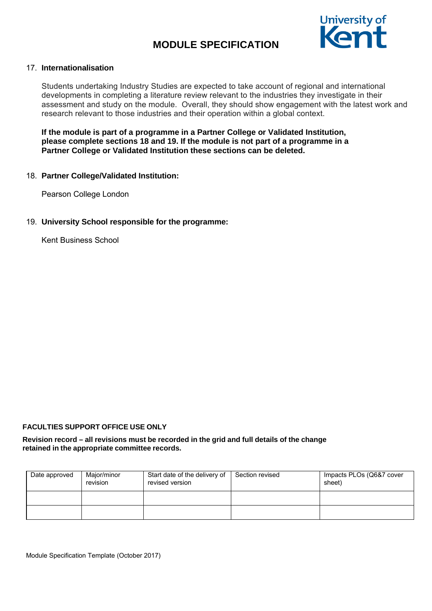

## 17. **Internationalisation**

Students undertaking Industry Studies are expected to take account of regional and international developments in completing a literature review relevant to the industries they investigate in their assessment and study on the module. Overall, they should show engagement with the latest work and research relevant to those industries and their operation within a global context.

**If the module is part of a programme in a Partner College or Validated Institution, please complete sections 18 and 19. If the module is not part of a programme in a Partner College or Validated Institution these sections can be deleted.** 

### 18. **Partner College/Validated Institution:**

Pearson College London

## 19. **University School responsible for the programme:**

Kent Business School

#### **FACULTIES SUPPORT OFFICE USE ONLY**

#### **Revision record – all revisions must be recorded in the grid and full details of the change retained in the appropriate committee records.**

| Date approved | Major/minor<br>revision | Start date of the delivery of<br>revised version | Section revised | Impacts PLOs (Q6&7 cover<br>sheet) |
|---------------|-------------------------|--------------------------------------------------|-----------------|------------------------------------|
|               |                         |                                                  |                 |                                    |
|               |                         |                                                  |                 |                                    |